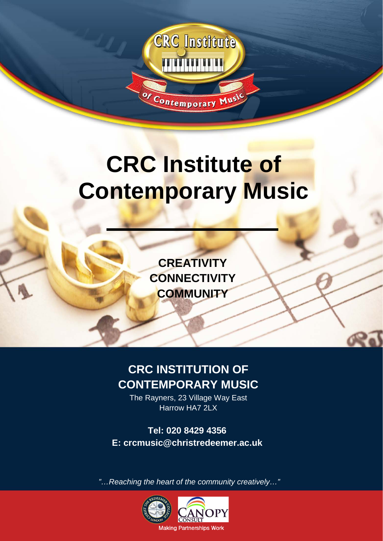

# **CRC Institute of Contemporary Music**

**CREATIVITY CONNECTIVITY COMMUNITY**

# **CRC INSTITUTION OF CONTEMPORARY MUSIC**

The Rayners, 23 Village Way East Harrow HA7 2LX

**Tel: 020 8429 4356 E: crcmusic@christredeemer.ac.uk**

*"…Reaching the heart of the community creatively…"*

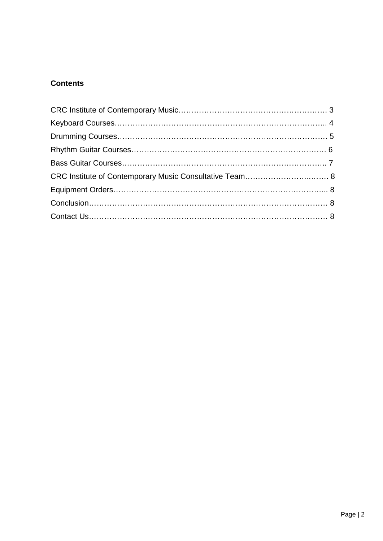## **Contents**

| CRC Institute of Contemporary Music Consultative Team 8 |  |
|---------------------------------------------------------|--|
|                                                         |  |
|                                                         |  |
|                                                         |  |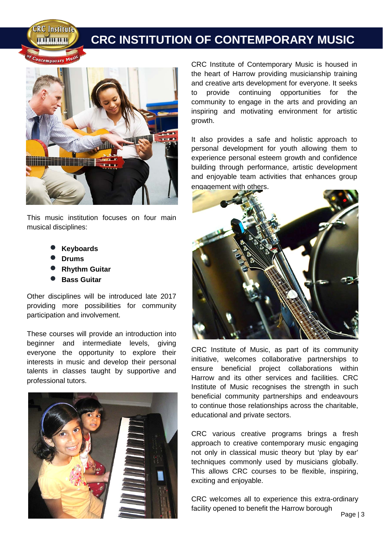**CRC Institute TITTING THE TITLE** 

## **CRC INSTITUTION OF CONTEMPORARY MUSIC**



This music institution focuses on four main musical disciplines:

- **Keyboards**
- **Drums**
- **Rhythm Guitar**
- **Bass Guitar**

Other disciplines will be introduced late 2017 providing more possibilities for community participation and involvement.

These courses will provide an introduction into beginner and intermediate levels, giving everyone the opportunity to explore their interests in music and develop their personal talents in classes taught by supportive and professional tutors.



CRC Institute of Contemporary Music is housed in the heart of Harrow providing musicianship training and creative arts development for everyone. It seeks to provide continuing opportunities for the community to engage in the arts and providing an inspiring and motivating environment for artistic growth.

It also provides a safe and holistic approach to personal development for youth allowing them to experience personal esteem growth and confidence building through performance, artistic development and enjoyable team activities that enhances group engagement with others.



CRC Institute of Music, as part of its community initiative, welcomes collaborative partnerships to ensure beneficial project collaborations within Harrow and its other services and facilities. CRC Institute of Music recognises the strength in such beneficial community partnerships and endeavours to continue those relationships across the charitable, educational and private sectors.

CRC various creative programs brings a fresh approach to creative contemporary music engaging not only in classical music theory but 'play by ear' techniques commonly used by musicians globally. This allows CRC courses to be flexible, inspiring, exciting and enjoyable.

CRC welcomes all to experience this extra-ordinary facility opened to benefit the Harrow borough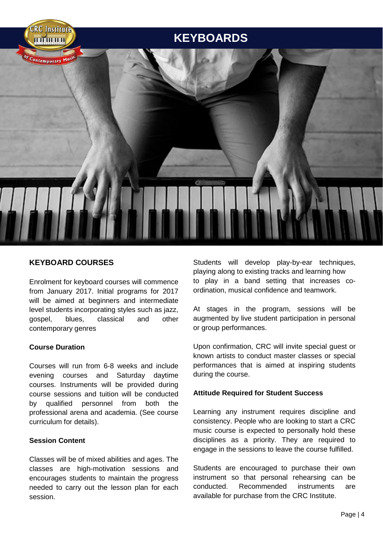

#### **KEYBOARD COURSES**

Enrolment for keyboard courses will commence from January 2017. Initial programs for 2017 will be aimed at beginners and intermediate level students incorporating styles such as jazz, gospel, blues, classical and other contemporary genres

#### **Course Duration**

Courses will run from 6-8 weeks and include evening courses and Saturday daytime courses. Instruments will be provided during course sessions and tuition will be conducted by qualified personnel from both the professional arena and academia. (See course curriculum for details).

#### **Session Content**

Classes will be of mixed abilities and ages. The classes are high-motivation sessions and encourages students to maintain the progress needed to carry out the lesson plan for each session.

Students will develop play-by-ear techniques, playing along to existing tracks and learning how to play in a band setting that increases coordination, musical confidence and teamwork.

At stages in the program, sessions will be augmented by live student participation in personal or group performances.

Upon confirmation, CRC will invite special guest or known artists to conduct master classes or special performances that is aimed at inspiring students during the course.

#### **Attitude Required for Student Success**

Learning any instrument requires discipline and consistency. People who are looking to start a CRC music course is expected to personally hold these disciplines as a priority. They are required to engage in the sessions to leave the course fulfilled.

Students are encouraged to purchase their own instrument so that personal rehearsing can be conducted. Recommended instruments are available for purchase from the CRC Institute.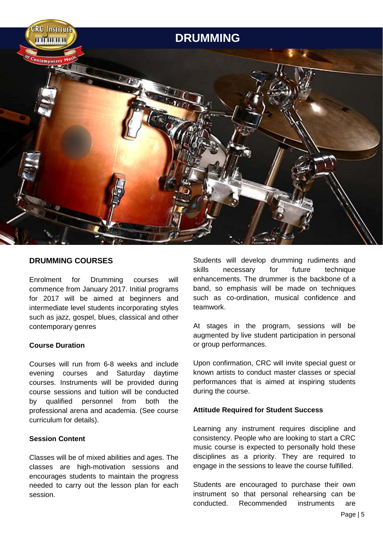

#### **DRUMMING COURSES**

Enrolment for Drumming courses will commence from January 2017. Initial programs for 2017 will be aimed at beginners and intermediate level students incorporating styles such as jazz, gospel, blues, classical and other contemporary genres

#### **Course Duration**

Courses will run from 6-8 weeks and include evening courses and Saturday daytime courses. Instruments will be provided during course sessions and tuition will be conducted by qualified personnel from both the professional arena and academia. (See course curriculum for details).

#### **Session Content**

Classes will be of mixed abilities and ages. The classes are high-motivation sessions and encourages students to maintain the progress needed to carry out the lesson plan for each session.

Students will develop drumming rudiments and skills necessary for future technique enhancements. The drummer is the backbone of a band, so emphasis will be made on techniques such as co-ordination, musical confidence and teamwork.

At stages in the program, sessions will be augmented by live student participation in personal or group performances.

Upon confirmation, CRC will invite special guest or known artists to conduct master classes or special performances that is aimed at inspiring students during the course.

#### **Attitude Required for Student Success**

Learning any instrument requires discipline and consistency. People who are looking to start a CRC music course is expected to personally hold these disciplines as a priority. They are required to engage in the sessions to leave the course fulfilled.

Students are encouraged to purchase their own instrument so that personal rehearsing can be conducted. Recommended instruments are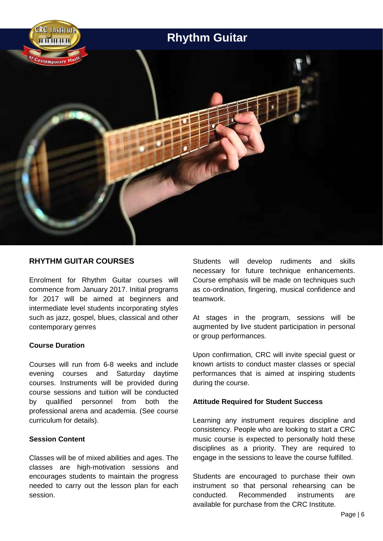

#### **RHYTHM GUITAR COURSES**

Enrolment for Rhythm Guitar courses will commence from January 2017. Initial programs for 2017 will be aimed at beginners and intermediate level students incorporating styles such as jazz, gospel, blues, classical and other contemporary genres

#### **Course Duration**

Courses will run from 6-8 weeks and include evening courses and Saturday daytime courses. Instruments will be provided during course sessions and tuition will be conducted by qualified personnel from both the professional arena and academia. (See course curriculum for details).

#### **Session Content**

Classes will be of mixed abilities and ages. The classes are high-motivation sessions and encourages students to maintain the progress needed to carry out the lesson plan for each session.

Students will develop rudiments and skills necessary for future technique enhancements. Course emphasis will be made on techniques such as co-ordination, fingering, musical confidence and teamwork.

At stages in the program, sessions will be augmented by live student participation in personal or group performances.

Upon confirmation, CRC will invite special guest or known artists to conduct master classes or special performances that is aimed at inspiring students during the course.

#### **Attitude Required for Student Success**

Learning any instrument requires discipline and consistency. People who are looking to start a CRC music course is expected to personally hold these disciplines as a priority. They are required to engage in the sessions to leave the course fulfilled.

Students are encouraged to purchase their own instrument so that personal rehearsing can be conducted. Recommended instruments are available for purchase from the CRC Institute.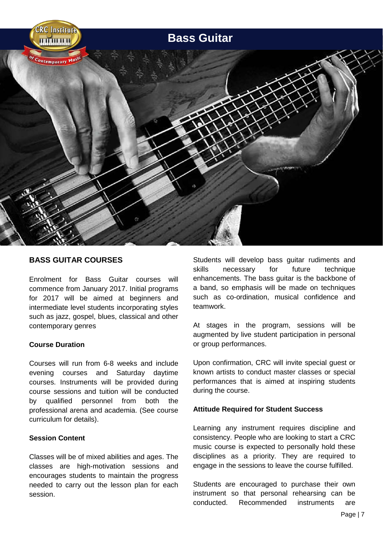

#### **BASS GUITAR COURSES**

Enrolment for Bass Guitar courses will commence from January 2017. Initial programs for 2017 will be aimed at beginners and intermediate level students incorporating styles such as jazz, gospel, blues, classical and other contemporary genres

#### **Course Duration**

Courses will run from 6-8 weeks and include evening courses and Saturday daytime courses. Instruments will be provided during course sessions and tuition will be conducted by qualified personnel from both the professional arena and academia. (See course curriculum for details).

#### **Session Content**

Classes will be of mixed abilities and ages. The classes are high-motivation sessions and encourages students to maintain the progress needed to carry out the lesson plan for each session.

Students will develop bass guitar rudiments and skills necessary for future technique enhancements. The bass guitar is the backbone of a band, so emphasis will be made on techniques such as co-ordination, musical confidence and teamwork.

At stages in the program, sessions will be augmented by live student participation in personal or group performances.

Upon confirmation, CRC will invite special guest or known artists to conduct master classes or special performances that is aimed at inspiring students during the course.

#### **Attitude Required for Student Success**

Learning any instrument requires discipline and consistency. People who are looking to start a CRC music course is expected to personally hold these disciplines as a priority. They are required to engage in the sessions to leave the course fulfilled.

Students are encouraged to purchase their own instrument so that personal rehearsing can be conducted. Recommended instruments are